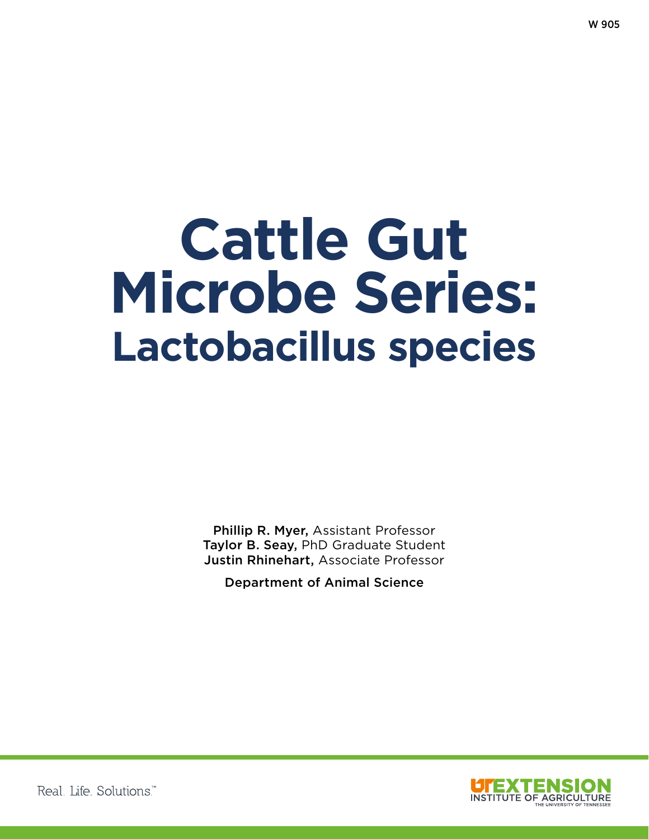# **Cattle Gut Microbe Series: Lactobacillus species**

Phillip R. Myer, Assistant Professor Taylor B. Seay, PhD Graduate Student Justin Rhinehart, Associate Professor

Department of Animal Science



Real Life Solutions<sup>™</sup>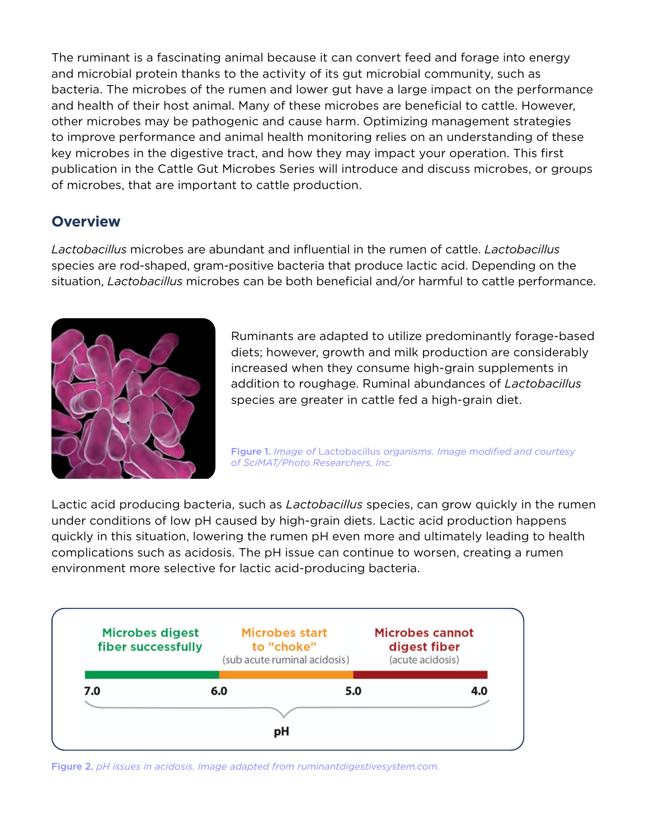The ruminant is a fascinating animal because it can convert feed and forage into energy and microbial protein thanks to the activity of its gut microbial community, such as bacteria. The microbes of the rumen and lower gut have a large impact on the performance and health of their host animal. Many of these microbes are benefcial to cattle. However, other microbes may be pathogenic and cause harm. Optimizing management strategies to improve performance and animal health monitoring relies on an understanding of these key microbes in the digestive tract, and how they may impact your operation. This frst publication in the Cattle Gut Microbes Series will introduce and discuss microbes, or groups of microbes, that are important to cattle production.

## **Overview**

*Lactobacillus* microbes are abundant and infuential in the rumen of cattle. *Lactobacillus* species are rod-shaped, gram-positive bacteria that produce lactic acid. Depending on the situation, *Lactobacillus* microbes can be both beneficial and/or harmful to cattle performance.



Ruminants are adapted to utilize predominantly forage-based diets; however, growth and milk production are considerably increased when they consume high-grain supplements in addition to roughage. Ruminal abundances of *Lactobacillus* species are greater in cattle fed a high-grain diet.

Figure 1. *Image of* Lactobacillus *organisms. Image modifed and courtesy of SciMAT/Photo Researchers, Inc.*

Lactic acid producing bacteria, such as *Lactobacillus* species, can grow quickly in the rumen under conditions of low pH caused by high-grain diets. Lactic acid production happens quickly in this situation, lowering the rumen pH even more and ultimately leading to health complications such as acidosis. The pH issue can continue to worsen, creating a rumen environment more selective for lactic acid-producing bacteria.



Figure 2. *pH issues in acidosis. Image adapted from ruminantdigestivesystem.com.*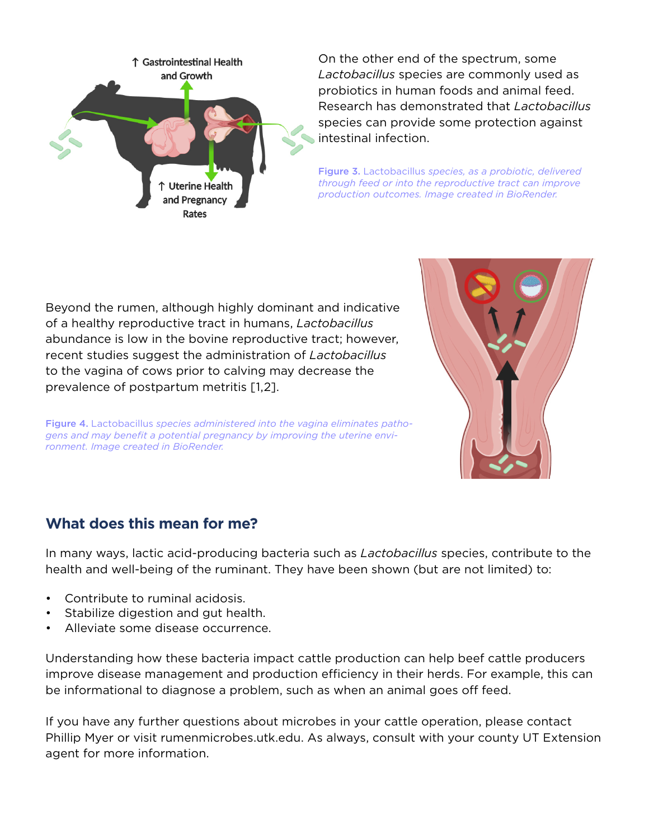

On the other end of the spectrum, some *Lactobacillus* species are commonly used as probiotics in human foods and animal feed. Research has demonstrated that *Lactobacillus* species can provide some protection against intestinal infection.

Figure 3. Lactobacillus *species, as a probiotic, delivered through feed or into the reproductive tract can improve production outcomes. Image created in BioRender.*

Beyond the rumen, although highly dominant and indicative of a healthy reproductive tract in humans, *Lactobacillus* abundance is low in the bovine reproductive tract; however, recent studies suggest the administration of *Lactobacillus* to the vagina of cows prior to calving may decrease the prevalence of postpartum metritis [1,2].

Figure 4. Lactobacillus *species administered into the vagina eliminates pathogens and may beneft a potential pregnancy by improving the uterine environment. Image created in BioRender.*



## **What does this mean for me?**

In many ways, lactic acid-producing bacteria such as *Lactobacillus* species, contribute to the health and well-being of the ruminant. They have been shown (but are not limited) to:

- Contribute to ruminal acidosis.
- Stabilize digestion and gut health.
- Alleviate some disease occurrence.

Understanding how these bacteria impact cattle production can help beef cattle producers improve disease management and production efficiency in their herds. For example, this can be informational to diagnose a problem, such as when an animal goes off feed.

If you have any further questions about microbes in your cattle operation, please contact Phillip Myer or visit rumenmicrobes.utk.edu. As always, consult with your county UT Extension agent for more information.